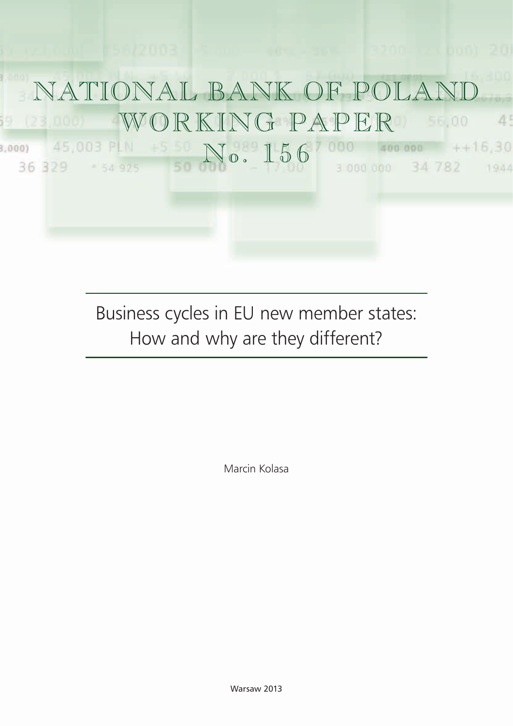

Business cycles in EU new member states: How and why are they different?

Marcin Kolasa

Warsaw 2013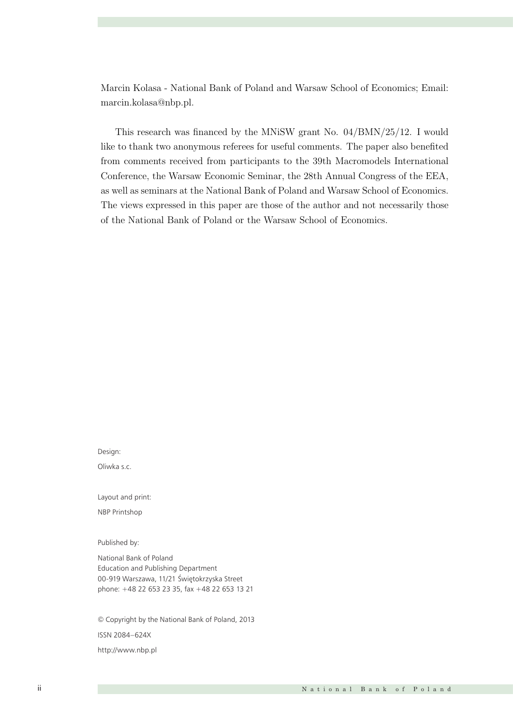Marcin Kolasa - National Bank of Poland and Warsaw School of Economics; Email: marcin.kolasa@nbp.pl.

This research was financed by the MNiSW grant No. 04/BMN/25/12. I would like to thank two anonymous referees for useful comments. The paper also benefited from comments received from participants to the 39th Macromodels International Conference, the Warsaw Economic Seminar, the 28th Annual Congress of the EEA, as well as seminars at the National Bank of Poland and Warsaw School of Economics. The views expressed in this paper are those of the author and not necessarily those of the National Bank of Poland or the Warsaw School of Economics.

Design:

Oliwka s.c.

Layout and print:

NBP Printshop

Published by:

National Bank of Poland Education and Publishing Department 00-919 Warszawa, 11/21 Świętokrzyska Street phone: +48 22 653 23 35, fax +48 22 653 13 21

© Copyright by the National Bank of Poland, 2013 ISSN 2084–624X http://www.nbp.pl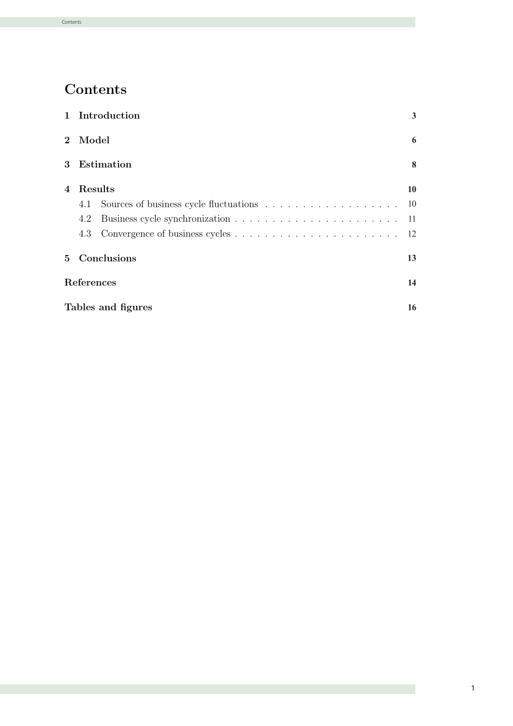# Contents

|             |            | 1 Introduction     | 3    |
|-------------|------------|--------------------|------|
| $2^{\circ}$ | Model      |                    | 6    |
| 3           |            | Estimation         | 8    |
| 4           | Results    |                    | 10   |
|             | 4.1        |                    | - 10 |
|             | 4.2        |                    |      |
|             | 4.3        |                    |      |
| $5^{\circ}$ |            | Conclusions        | 13   |
|             | References |                    | 14   |
|             |            | Tables and figures | 16   |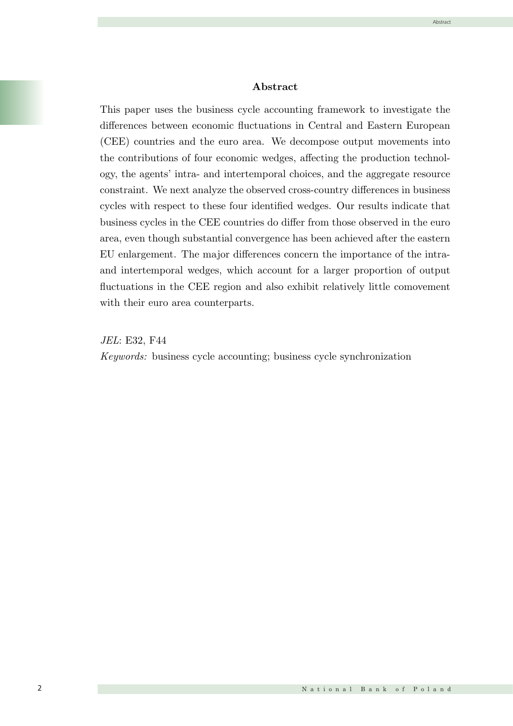#### Abstract

This paper uses the business cycle accounting framework to investigate the differences between economic fluctuations in Central and Eastern European (CEE) countries and the euro area. We decompose output movements into the contributions of four economic wedges, affecting the production technology, the agents' intra- and intertemporal choices, and the aggregate resource constraint. We next analyze the observed cross-country differences in business cycles with respect to these four identified wedges. Our results indicate that business cycles in the CEE countries do differ from those observed in the euro area, even though substantial convergence has been achieved after the eastern EU enlargement. The major differences concern the importance of the intraand intertemporal wedges, which account for a larger proportion of output fluctuations in the CEE region and also exhibit relatively little comovement with their euro area counterparts.

JEL: E32, F44

Keywords: business cycle accounting; business cycle synchronization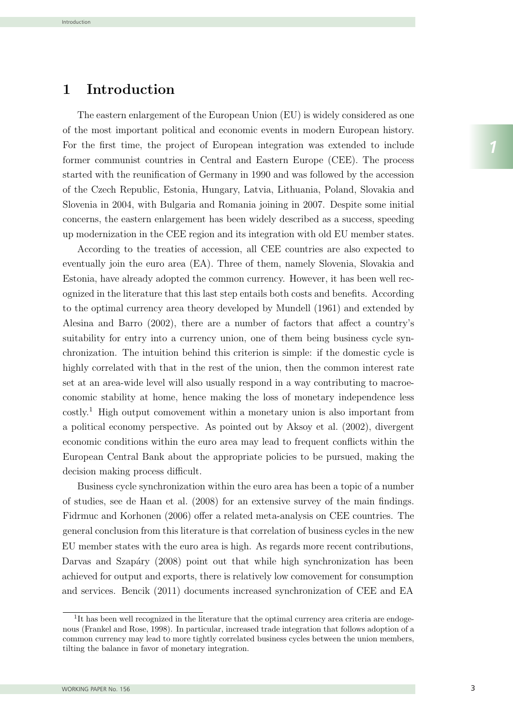# 1 Introduction

The eastern enlargement of the European Union (EU) is widely considered as one of the most important political and economic events in modern European history. For the first time, the project of European integration was extended to include former communist countries in Central and Eastern Europe (CEE). The process started with the reunification of Germany in 1990 and was followed by the accession of the Czech Republic, Estonia, Hungary, Latvia, Lithuania, Poland, Slovakia and Slovenia in 2004, with Bulgaria and Romania joining in 2007. Despite some initial concerns, the eastern enlargement has been widely described as a success, speeding up modernization in the CEE region and its integration with old EU member states.

According to the treaties of accession, all CEE countries are also expected to eventually join the euro area (EA). Three of them, namely Slovenia, Slovakia and Estonia, have already adopted the common currency. However, it has been well recognized in the literature that this last step entails both costs and benefits. According to the optimal currency area theory developed by Mundell (1961) and extended by Alesina and Barro  $(2002)$ , there are a number of factors that affect a country's suitability for entry into a currency union, one of them being business cycle synchronization. The intuition behind this criterion is simple: if the domestic cycle is highly correlated with that in the rest of the union, then the common interest rate set at an area-wide level will also usually respond in a way contributing to macroeconomic stability at home, hence making the loss of monetary independence less  $\text{costly.}^1$  High output comovement within a monetary union is also important from a political economy perspective. As pointed out by Aksoy et al. (2002), divergent economic conditions within the euro area may lead to frequent conflicts within the European Central Bank about the appropriate policies to be pursued, making the decision making process difficult.

Business cycle synchronization within the euro area has been a topic of a number of studies, see de Haan et al. (2008) for an extensive survey of the main findings. Fidrmuc and Korhonen (2006) offer a related meta-analysis on CEE countries. The general conclusion from this literature is that correlation of business cycles in the new EU member states with the euro area is high. As regards more recent contributions, Darvas and Szapáry (2008) point out that while high synchronization has been common currency may lead to more tightly correlated business cycles between the union members, achieved for output and exports, there is relatively low comovement for consumption and services. Bencik (2011) documents increased synchronization of CEE and EA

<sup>3</sup> <sup>1</sup>It has been well recognized in the literature that the optimal currency area criteria are endoge-The papers survey of the following two empirical strategies. The following two empirical strategies of the common currency may lead to more tightly correlated business cycles between the union members, tilting the balance in favor of monetary integration. nous (Frankel and Rose, 1998). In particular, increased trade integration that follows adoption of a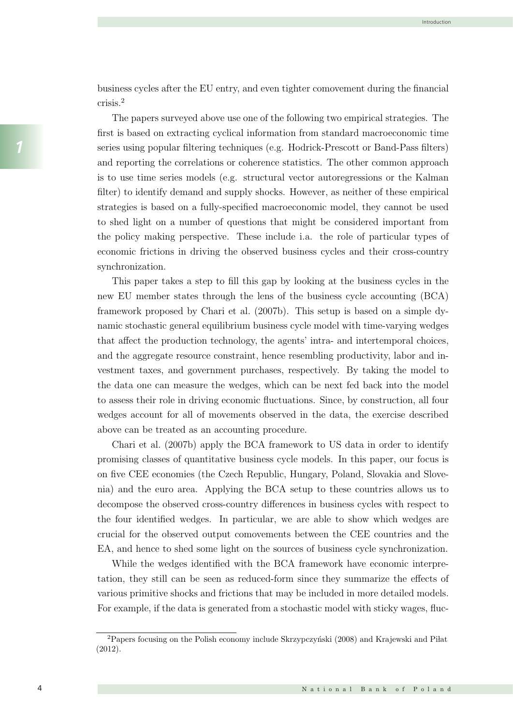business cycles after the EU entry, and even tighter comovement during the financial crisis.<sup>2</sup>

EU member states with the euro area is high. As regards more recent contributions,

Introduction

The papers surveyed above use one of the following two empirical strategies. The first is based on extracting cyclical information from standard macroeconomic time series using popular filtering techniques (e.g. Hodrick-Prescott or Band-Pass filters) and reporting the correlations or coherence statistics. The other common approach is to use time series models (e.g. structural vector autoregressions or the Kalman filter) to identify demand and supply shocks. However, as neither of these empirical strategies is based on a fully-specified macroeconomic model, they cannot be used to shed light on a number of questions that might be considered important from the policy making perspective. These include i.a. the role of particular types of economic frictions in driving the observed business cycles and their cross-country  $Synchronization.$ 

This paper takes a step to fill this gap by looking at the business cycles in the new EU member states through the lens of the business cycle accounting (BCA) framework proposed by Chari et al. (2007b). This setup is based on a simple dynamic stochastic general equilibrium business cycle model with time-varying wedges that affect the production technology, the agents' intra- and intertemporal choices, and the aggregate resource constraint, hence resembling productivity, labor and investment taxes, and government purchases, respectively. By taking the model to the data one can measure the wedges, which can be next fed back into the model to assess their role in driving economic fluctuations. Since, by construction, all four wedges account for all of movements observed in the data, the exercise described above can be treated as an accounting procedure.

Chari et al. (2007b) apply the BCA framework to US data in order to identify promising classes of quantitative business cycle models. In this paper, our focus is on five CEE economies (the Czech Republic, Hungary, Poland, Slovakia and Slovenia) and the euro area. Applying the BCA setup to these countries allows us to  $\,$  decompose the observed cross-country differences in business cycles with respect to the four identified wedges. In particular, we are able to show which wedges are EA, and hence to shed some light on the sources of business cycle synchronization. crucial for the observed output comovements between the CEE countries and the

While the wedges identified with the BCA framework have economic interpretation, they still can be seen as reduced-form since they summarize the effects of various primitive shocks and frictions that may be included in more detailed models. For example, if the data is generated from a stochastic model with sticky wages, fluc-

<sup>&</sup>lt;sup>2</sup>Papers focusing on the Polish economy include Skrzypczyński (2008) and Krajewski and Piłat  $(2012)$ . (2012).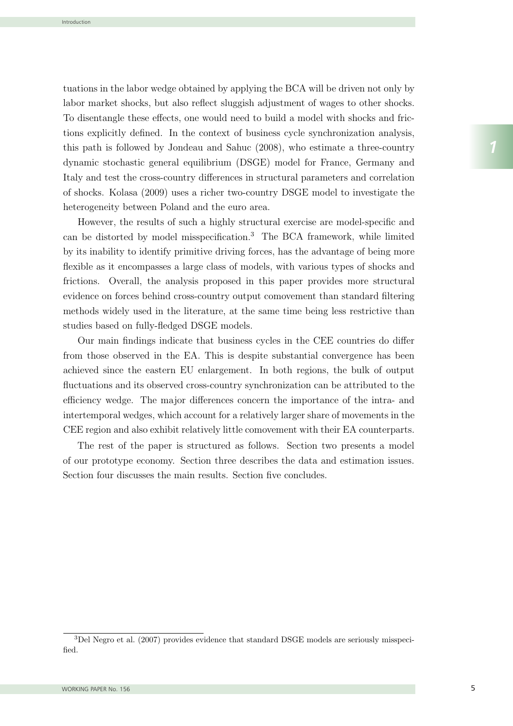tuations in the labor wedge obtained by applying the BCA will be driven not only by labor market shocks, but also reflect sluggish adjustment of wages to other shocks. To disentangle these effects, one would need to build a model with shocks and frictions explicitly defined. In the context of business cycle synchronization analysis, this path is followed by Jondeau and Sahuc (2008), who estimate a three-country dynamic stochastic general equilibrium (DSGE) model for France, Germany and Italy and test the cross-country differences in structural parameters and correlation of shocks. Kolasa (2009) uses a richer two-country DSGE model to investigate the heterogeneity between Poland and the euro area.

However, the results of such a highly structural exercise are model-specific and can be distorted by model misspecification.<sup>3</sup> The BCA framework, while limited by its inability to identify primitive driving forces, has the advantage of being more flexible as it encompasses a large class of models, with various types of shocks and frictions. Overall, the analysis proposed in this paper provides more structural evidence on forces behind cross-country output comovement than standard filtering methods widely used in the literature, at the same time being less restrictive than studies based on fully-fledged DSGE models.

Our main findings indicate that business cycles in the CEE countries do differ from those observed in the EA. This is despite substantial convergence has been achieved since the eastern EU enlargement. In both regions, the bulk of output fluctuations and its observed cross-country synchronization can be attributed to the efficiency wedge. The major differences concern the importance of the intra- and intertemporal wedges, which account for a relatively larger share of movements in the CEE region and also exhibit relatively little comovement with their EA counterparts.

The rest of the paper is structured as follows. Section two presents a model of our prototype economy. Section three describes the data and estimation issues. Section four discusses the main results. Section five concludes.

<sup>&</sup>lt;sup>3</sup>Del Negro et al. (2007) provides evidence that standard DSGE models are seriously misspecified.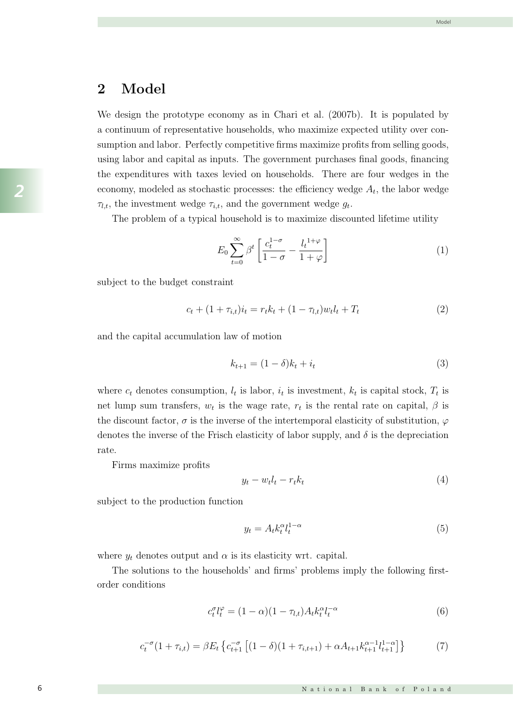## 2 Model

We design the prototype economy as in Chari et al. (2007b). It is populated by a continuum of representative households, who maximize expected utility over consumption and labor. Perfectly competitive firms maximize profits from selling goods, using labor and capital as inputs. The government purchases final goods, financing the expenditures with taxes levied on households. There are four wedges in the economy, modeled as stochastic processes: the efficiency wedge  $A_t$ , the labor wedge  $\tau_{l,t}$ , the investment wedge  $\tau_{i,t}$ , and the government wedge  $g_t$ .

The problem of a typical household is to maximize discounted lifetime utility

$$
E_0 \sum_{t=0}^{\infty} \beta^t \left[ \frac{c_t^{1-\sigma}}{1-\sigma} - \frac{l_t^{1+\varphi}}{1+\varphi} \right] \tag{1}
$$

subject to the budget constraint

$$
c_t + (1 + \tau_{i,t})i_t = r_t k_t + (1 - \tau_{l,t})w_t l_t + T_t
$$
\n(2)

and the capital accumulation law of motion

$$
k_{t+1} = (1 - \delta)k_t + i_t
$$
\n(3)

where  $c_t$  denotes consumption,  $l_t$  is labor,  $i_t$  is investment,  $k_t$  is capital stock,  $T_t$  is net lump sum transfers,  $w_t$  is the wage rate,  $r_t$  is the rental rate on capital,  $\beta$  is the discount factor,  $\sigma$  is the inverse of the intertemporal elasticity of substitution,  $\varphi$ denotes the inverse of the Frisch elasticity of labor supply, and  $\delta$  is the depreciation rate.

Firms maximize profits

$$
y_t - w_t l_t - r_t k_t \tag{4}
$$

subject to the production function

$$
y_t = A_t k_t^{\alpha} l_t^{1-\alpha} \tag{5}
$$

where  $y_t$  denotes output and  $\alpha$  is its elasticity wrt. capital.

The solutions to the households' and firms' problems imply the following firstorder conditions order conditions order conditions

$$
c_t^{\sigma} l_t^{\varphi} = (1 - \alpha)(1 - \tau_{l,t}) A_t k_t^{\alpha} l_t^{-\alpha}
$$
\n
$$
\tag{6}
$$

$$
c_t^{-\sigma}(1+\tau_{i,t}) = \beta E_t \left\{ c_{t+1}^{-\sigma} \left[ (1-\delta)(1+\tau_{i,t+1}) + \alpha A_{t+1} k_{t+1}^{\alpha-1} l_{t+1}^{1-\alpha} \right] \right\} \tag{7}
$$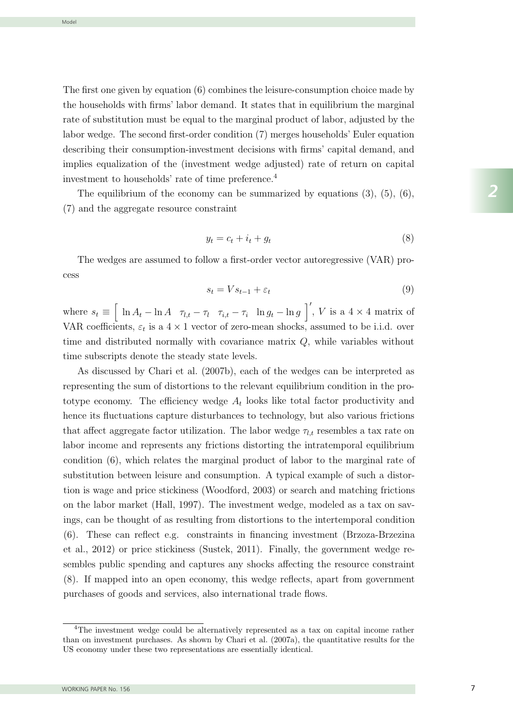The first one given by equation (6) combines the leisure-consumption choice made by the households with firms' labor demand. It states that in equilibrium the marginal rate of substitution must be equal to the marginal product of labor, adjusted by the labor wedge. The second first-order condition (7) merges households' Euler equation describing their consumption-investment decisions with firms' capital demand, and implies equalization of the (investment wedge adjusted) rate of return on capital investment to households' rate of time preference.<sup>4</sup>

The equilibrium of the economy can be summarized by equations  $(3)$ ,  $(5)$ ,  $(6)$ , (7) and the aggregate resource constraint

$$
y_t = c_t + i_t + g_t \tag{8}
$$

The wedges are assumed to follow a first-order vector autoregressive (VAR) process  $\cos$ 

$$
s_t = Vs_{t-1} + \varepsilon_t \tag{9}
$$

where  $s_t \equiv \begin{bmatrix} \ln A_t - \ln A & \tau_{l,t} - \tau_l & \tau_{i,t} - \tau_i & \ln g_t - \ln g \end{bmatrix}$ , *V* is a 4 × 4 matrix of VAR coefficients,  $\varepsilon_t$  is a  $4 \times 1$  vector of zero-mean shocks, assumed to be i.i.d. over time and distributed normally with covariance matrix  $Q$ , while variables without time subscripts denote the steady state levels.  $\Gamma$ where  $s_t = \int \ln A_t - \ln A \quad \tau_{l,t} - \tau_l \quad \tau_{i,t} - \tau_i \quad \ln g_t - \ln g \mid$ , *V* is a 4 × 4 matrix of

As discussed by Chari et al. (2007b), each of the wedges can be interpreted as representing the sum of distortions to the relevant equilibrium condition in the prototype economy. The efficiency wedge  $A_t$  looks like total factor productivity and hence its fluctuations capture disturbances to technology, but also various frictions that affect aggregate factor utilization. The labor wedge  $\tau_{l,t}$  resembles a tax rate on labor income and represents any frictions distorting the intratemporal equilibrium condition (6), which relates the marginal product of labor to the marginal rate of substitution between leisure and consumption. A typical example of such a distortion is wage and price stickiness (Woodford, 2003) or search and matching frictions ings, can be thought of as resulting from distortions to the intertemporal condition on the labor market (Hall, 1997). The investment wedge, modeled as a tax on sav- $(6)$ . These can reflect e.g. constraints in financing investment (Brzoza-Brzezina) et al., 2012) or price stickiness (Sustek, 2011). Finally, the government wedge resembles public spending and captures any shocks affecting the resource constraint  $(8)$ . If mapped into an open economy, this wedge reflects, apart from government purchases of goods and services, also international trade flows.

<sup>4</sup>The investment wedge could be alternatively represented as a tax on capital income rather than on investment purchases. As shown by Chari et al. (2007a), the quantitative results for the US economy under these two representations are essentially identical.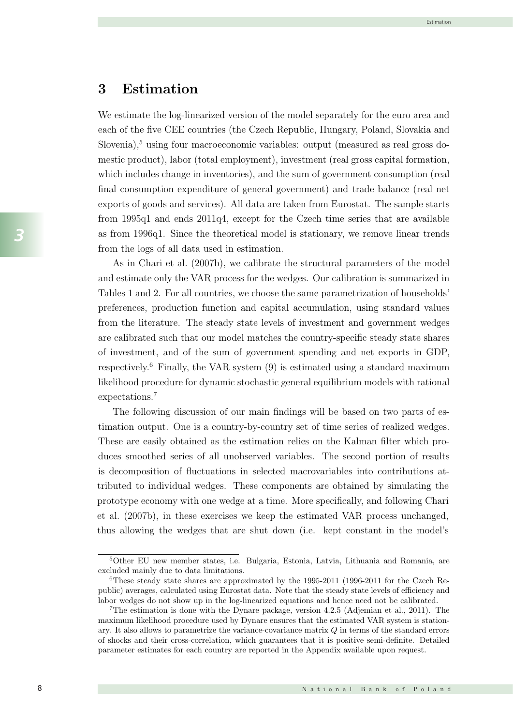## 3 Estimation

We estimate the log-linearized version of the model separately for the euro area and each of the five CEE countries (the Czech Republic, Hungary, Poland, Slovakia and Slovenia), $5$  using four macroeconomic variables: output (measured as real gross domestic product), labor (total employment), investment (real gross capital formation, which includes change in inventories), and the sum of government consumption (real final consumption expenditure of general government) and trade balance (real net exports of goods and services). All data are taken from Eurostat. The sample starts from 1995q1 and ends 2011q4, except for the Czech time series that are available as from 1996q1. Since the theoretical model is stationary, we remove linear trends from the logs of all data used in estimation.

As in Chari et al. (2007b), we calibrate the structural parameters of the model and estimate only the VAR process for the wedges. Our calibration is summarized in Tables 1 and 2. For all countries, we choose the same parametrization of households' preferences, production function and capital accumulation, using standard values from the literature. The steady state levels of investment and government wedges are calibrated such that our model matches the country-specific steady state shares of investment, and of the sum of government spending and net exports in GDP, respectively.<sup>6</sup> Finally, the VAR system  $(9)$  is estimated using a standard maximum likelihood procedure for dynamic stochastic general equilibrium models with rational  $\alpha$  expectations.<sup>7</sup>

The following discussion of our main findings will be based on two parts of estimation output. One is a country-by-country set of time series of realized wedges. These are easily obtained as the estimation relies on the Kalman filter which produces smoothed series of all unobserved variables. The second portion of results is decomposition of fluctuations in selected macrovariables into contributions attributed to individual wedges. These components are obtained by simulating the prototype economy with one wedge at a time. More specifically, and following Chari  $\begin{array}{ccccc}\n\text{I} & \text{I} & \text{I} & \text{I} & \text{I} & \text{I} \\
\text{I} & \text{O} & \text{I} & \text{I} & \text{I} & \text{I} & \text{I} & \text{I} & \text{I} \\
\text{I} & \text{O} & \text{I} & \text{I} & \text{I} & \text{I} & \text{I} & \text{I} & \text{I} \\
\end{array}$ et al. (2007b), in these exercises we keep the estimated VAR process unchanged, thus allowing the wedges that are shut down (i.e. kept constant in the mode  $\frac{1}{\sqrt{1-\frac{1}{\sqrt{1-\frac{1}{\sqrt{1-\frac{1}{\sqrt{1-\frac{1}{\sqrt{1-\frac{1}{\sqrt{1-\frac{1}{\sqrt{1-\frac{1}{\sqrt{1-\frac{1}{\sqrt{1-\frac{1}{\sqrt{1-\frac{1}{\sqrt{1-\frac{1}{\sqrt{1-\frac{1}{\sqrt{1-\frac{1}{\sqrt{1-\frac{1}{\sqrt{1-\frac{1}{\sqrt{1-\frac{1}{\sqrt{1-\frac{1}{\sqrt{1-\frac{1}{\sqrt{1-\frac{1}{\sqrt{1-\frac{1}{\sqrt{1-\frac{1}{\sqrt{1-\frac{1}{\sqrt{1-\frac{1}{\sqrt{1-\frac{1$ thus allowing the wedges that are shut down (i.e. kept constant in the model's

<sup>&</sup>lt;sup>5</sup>Other EU new member states, i.e. Bulgaria, Estonia, Latvia, Lithuania and Romania, are excluded mainly due to data limitations.

<sup>&</sup>lt;sup>6</sup>These steady state shares are approximated by the 1995-2011 (1996-2011 for the Czech Republic) averages, calculated using Eurostat data. Note that the steady state levels of efficiency and labor wedges do not show up in the log-linearized equations and hence need not be calibrated.

<sup>&</sup>lt;sup>7</sup>The estimation is done with the Dynare package, version 4.2.5 (Adjemian et al., 2011). The maximum likelihood procedure used by Dynare ensures that the estimated VAR system is stationary. It also allows to parametrize the variance-covariance matrix  $Q$  in terms of the standard errors of shocks and their cross-correlation, which guarantees that it is positive semi-definite. Detailed parameter estimates for each country are reported in the Appendix available upon request.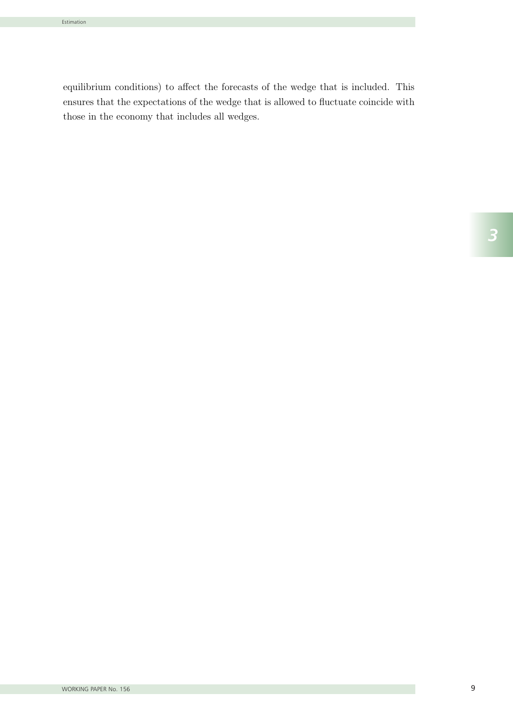equilibrium conditions) to affect the forecasts of the wedge that is included. This ensures that the expectations of the wedge that is allowed to fluctuate coincide with those in the economy that includes all wedges.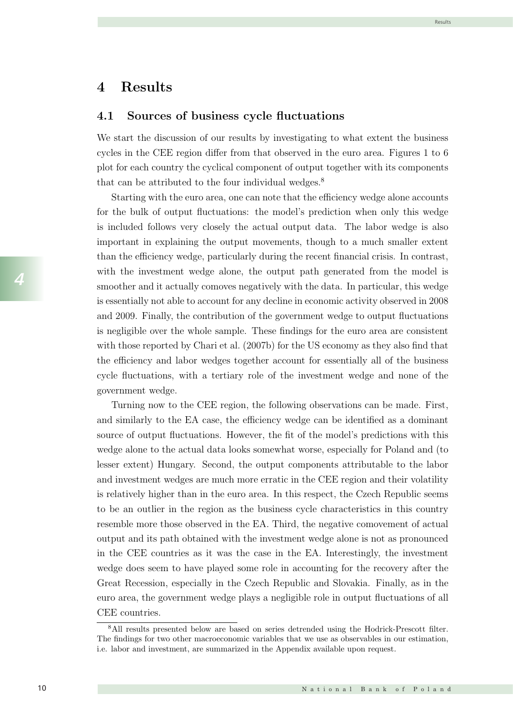### 4 Results

#### 4.1 Sources of business cycle fluctuations

We start the discussion of our results by investigating to what extent the business cycles in the CEE region differ from that observed in the euro area. Figures 1 to 6 cycles in the CEE region differ from that observed in the euro area. Figures 1 to 0<br>plot for each country the cyclical component of output together with its components that can be attributed to the four individual wedges.<sup>8</sup>

Starting with the euro area, one can note that the efficiency wedge alone accounts for the bulk of output fluctuations: the model's prediction when only this wedge is included follows very closely the actual output data. The labor wedge is also important in explaining the output movements, though to a much smaller extent than the efficiency wedge, particularly during the recent financial crisis. In contrast, with the investment wedge alone, the output path generated from the model is smoother and it actually comoves negatively with the data. In particular, this wedge is essentially not able to account for any decline in economic activity observed in 2008 and 2009. Finally, the contribution of the government wedge to output fluctuations is negligible over the whole sample. These findings for the euro area are consistent with those reported by Chari et al. (2007b) for the US economy as they also find that the efficiency and labor wedges together account for essentially all of the business cycle fluctuations, with a tertiary role of the investment wedge and none of the government wedge.

Turning now to the CEE region, the following observations can be made. First, and similarly to the EA case, the efficiency wedge can be identified as a dominant source of output fluctuations. However, the fit of the model's predictions with this wedge alone to the actual data looks somewhat worse, especially for Poland and (to lesser extent) Hungary. Second, the output components attributable to the labor and investment wedges are much more erratic in the CEE region and their volatility is relatively higher than in the euro area. In this respect, the Czech Republic seems to be an outlier in the region as the business cycle characteristics in this country resemble more those observed in the EA. Third, the negative comovement of actual output and its path obtained with the investment wedge alone is not as pronounced in the CEE countries as it was the case in the EA. Interestingly, the investment wedge does seem to have played some role in accounting for the recovery after the Great Recession, especially in the Czech Republic and Slovakia. Finally, as in the euro area, the government wedge plays a negligible role in output fluctuations of all  $\mathrm{CEE}$  countries.

*4*

<sup>&</sup>lt;sup>8</sup>All results presented below are based on series detrended using the Hodrick-Prescott filter. The findings for two other macroeconomic variables that we use as observables in our estimation, fluctuations in the individual wedges. Overall, compared to the euro area, business i.e. labor and investment, are summarized in the Appendix available upon request.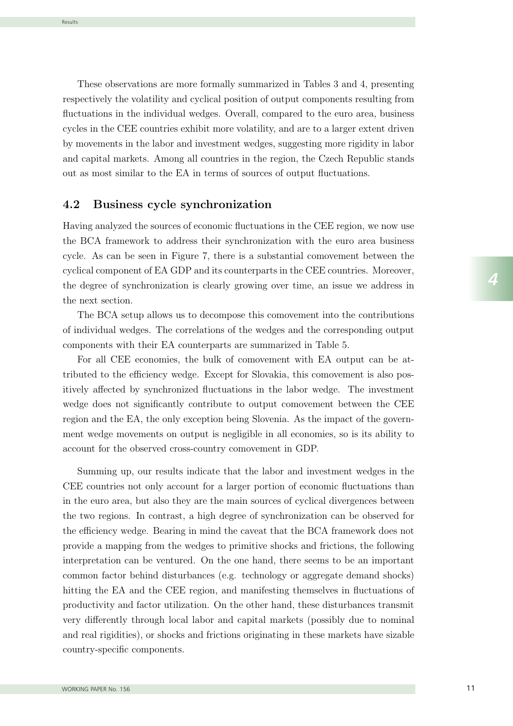These observations are more formally summarized in Tables 3 and 4, presenting respectively the volatility and cyclical position of output components resulting from fluctuations in the individual wedges. Overall, compared to the euro area, business cycles in the CEE countries exhibit more volatility, and are to a larger extent driven by movements in the labor and investment wedges, suggesting more rigidity in labor and capital markets. Among all countries in the region, the Czech Republic stands out as most similar to the EA in terms of sources of output fluctuations.

#### 4.2 Business cycle synchronization

Having analyzed the sources of economic fluctuations in the CEE region, we now use the BCA framework to address their synchronization with the euro area business cycle. As can be seen in Figure 7, there is a substantial comovement between the cyclical component of EA GDP and its counterparts in the CEE countries. Moreover, the degree of synchronization is clearly growing over time, an issue we address in the next section.

The BCA setup allows us to decompose this comovement into the contributions of individual wedges. The correlations of the wedges and the corresponding output components with their EA counterparts are summarized in Table 5.

For all CEE economies, the bulk of comovement with EA output can be attributed to the efficiency wedge. Except for Slovakia, this comovement is also positively affected by synchronized fluctuations in the labor wedge. The investment wedge does not significantly contribute to output comovement between the CEE region and the EA, the only exception being Slovenia. As the impact of the government wedge movements on output is negligible in all economies, so is its ability to account for the observed cross-country comovement in GDP.

Summing up, our results indicate that the labor and investment wedges in the CEE countries not only account for a larger portion of economic fluctuations than in the euro area, but also they are the main sources of cyclical divergences between the efficiency wedge. Bearing in mind the caveat that the BCA framework does not the two regions. In contrast, a high degree of synchronization can be observed for provide a mapping from the wedges to primitive shocks and frictions, the following interpretation can be ventured. On the one hand, there seems to be an important common factor behind disturbances (e.g. technology or aggregate demand shocks) hitting the EA and the CEE region, and manifesting themselves in fluctuations of productivity and factor utilization. On the other hand, these disturbances transmit very differently through local labor and capital markets (possibly due to nominal and real rigidities), or shocks and frictions originating in these markets have sizable country-specific components.

*4*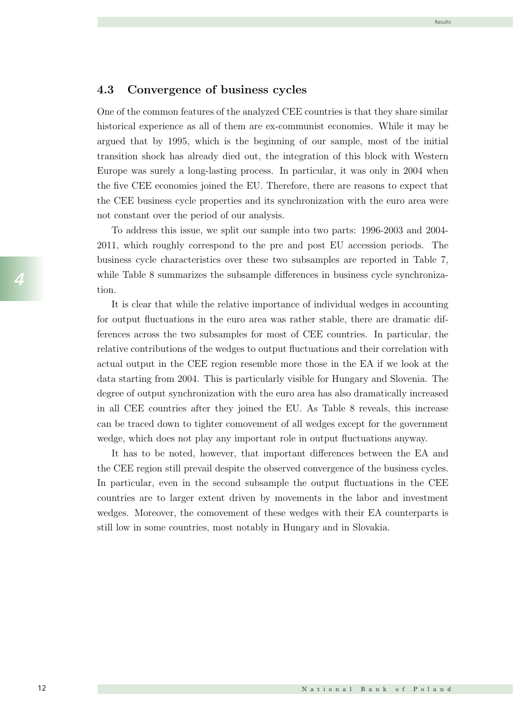#### 4.3 Convergence of business cycles

One of the common features of the analyzed CEE countries is that they share similar historical experience as all of them are ex-communist economies. While it may be argued that by 1995, which is the beginning of our sample, most of the initial transition shock has already died out, the integration of this block with Western Europe was surely a long-lasting process. In particular, it was only in 2004 when the five CEE economies joined the EU. Therefore, there are reasons to expect that the CEE business cycle properties and its synchronization with the euro area were not constant over the period of our analysis.

productivity and factor utilization. On the other hand, these disturbances transmit

To address this issue, we split our sample into two parts: 1996-2003 and 2004- 2011, which roughly correspond to the pre and post EU accession periods. The business cycle characteristics over these two subsamples are reported in Table 7, while Table 8 summarizes the subsample differences in business cycle synchronization.

It is clear that while the relative importance of individual wedges in accounting for output fluctuations in the euro area was rather stable, there are dramatic differences across the two subsamples for most of CEE countries. In particular, the relative contributions of the wedges to output fluctuations and their correlation with actual output in the CEE region resemble more those in the EA if we look at the data starting from 2004. This is particularly visible for Hungary and Slovenia. The degree of output synchronization with the euro area has also dramatically increased in all CEE countries after they joined the EU. As Table 8 reveals, this increase  $\overline{1}$ can be traced down to tighter comovement of all wedges except for the government wedge, which does not play any important role in output fluctuations anyway.

It has to be noted, however, that important differences between the EA and the CEE region still prevail despite the observed convergence of the business cycles. In particular, even in the second subsample the output fluctuations in the CEE countries are to larger extent driven by movements in the labor and investment wedges. Moreover, the comovement of these wedges with their EA counterparts is still low in some countries, most notably in Hungary and in Slovakia.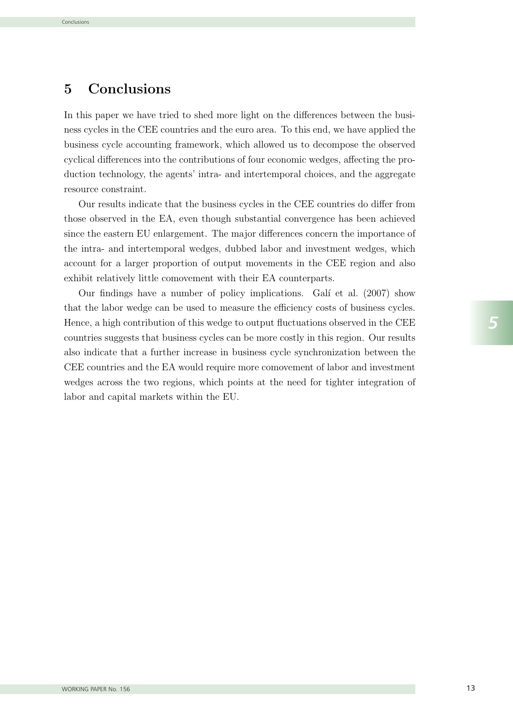# 5 Conclusions

In this paper we have tried to shed more light on the differences between the business cycles in the CEE countries and the euro area. To this end, we have applied the business cycle accounting framework, which allowed us to decompose the observed cyclical differences into the contributions of four economic wedges, affecting the production technology, the agents' intra- and intertemporal choices, and the aggregate resource constraint.

Our results indicate that the business cycles in the CEE countries do differ from those observed in the EA, even though substantial convergence has been achieved since the eastern EU enlargement. The major differences concern the importance of the intra- and intertemporal wedges, dubbed labor and investment wedges, which account for a larger proportion of output movements in the CEE region and also exhibit relatively little comovement with their EA counterparts.

Our findings have a number of policy implications. Galí et al. (2007) show that the labor wedge can be used to measure the efficiency costs of business cycles. Hence, a high contribution of this wedge to output fluctuations observed in the CEE countries suggests that business cycles can be more costly in this region. Our results also indicate that a further increase in business cycle synchronization between the CEE countries and the EA would require more comovement of labor and investment wedges across the two regions, which points at the need for tighter integration of labor and capital markets within the EU.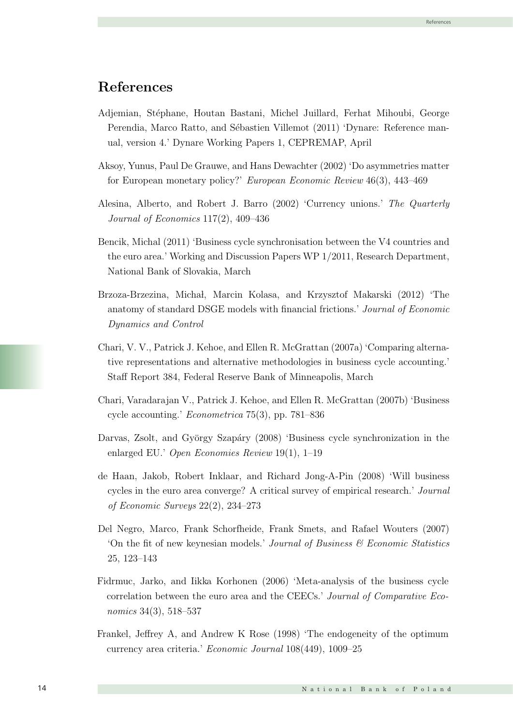# References

- Adjemian, Stéphane, Houtan Bastani, Michel Juillard, Ferhat Mihoubi, George Perendia, Marco Ratto, and Sébastien Villemot (2011) 'Dynare: Reference manual, version 4.' Dynare Working Papers 1, CEPREMAP, April
- Aksoy, Yunus, Paul De Grauwe, and Hans Dewachter (2002) 'Do asymmetries matter for European monetary policy?' European Economic Review 46(3), 443–469
- Alesina, Alberto, and Robert J. Barro (2002) 'Currency unions.' The Quarterly Journal of Economics 117(2), 409–436
- Bencik, Michal (2011) 'Business cycle synchronisation between the V4 countries and the euro area.' Working and Discussion Papers WP 1/2011, Research Department, National Bank of Slovakia, March
- Brzoza-Brzezina, Michal, Marcin Kolasa, and Krzysztof Makarski (2012) 'The anatomy of standard DSGE models with financial frictions.' Journal of Economic Dynamics and Control
- Chari, V. V., Patrick J. Kehoe, and Ellen R. McGrattan (2007a) 'Comparing alternative representations and alternative methodologies in business cycle accounting.' Staff Report 384, Federal Reserve Bank of Minneapolis, March
- Chari, Varadarajan V., Patrick J. Kehoe, and Ellen R. McGrattan (2007b) 'Business cycle accounting.' Econometrica 75(3), pp. 781–836
- Darvas, Zsolt, and György Szapáry (2008) 'Business cycle synchronization in the enlarged EU.' Open Economies Review 19(1), 1–19
- de Haan, Jakob, Robert Inklaar, and Richard Jong-A-Pin (2008) 'Will business cycles in the euro area converge? A critical survey of empirical research.' Journal of Economic Surveys 22(2), 234–273
- Del Negro, Marco, Frank Schorfheide, Frank Smets, and Rafael Wouters (2007) 'On the fit of new keynesian models.' Journal of Business  $\mathcal C$  Economic Statistics 25, 123–143
- Fidrmuc, Jarko, and Iikka Korhonen (2006) 'Meta-analysis of the business cycle correlation between the euro area and the CEECs.' Journal of Comparative Economics 34(3), 518–537
- Frankel, Jeffrey A, and Andrew K Rose (1998) 'The endogeneity of the optimum currency area criteria.' Economic Journal 108(449), 1009–25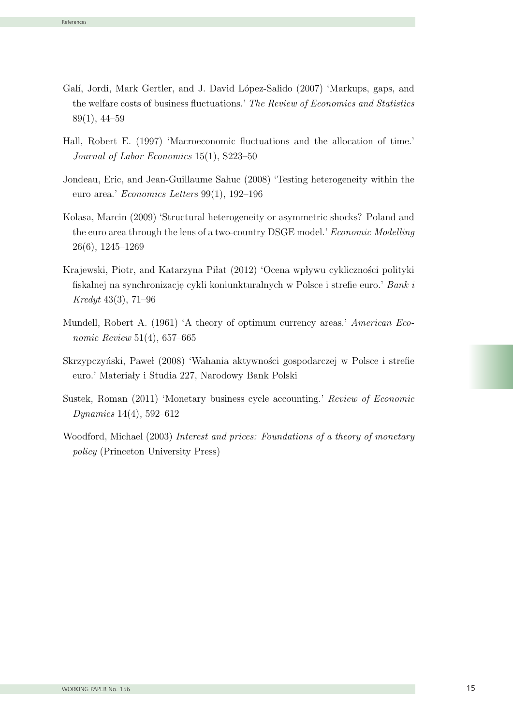- Galí, Jordi, Mark Gertler, and J. David López-Salido (2007) 'Markups, gaps, and the welfare costs of business fluctuations.' The Review of Economics and Statistics 89(1), 44–59
- Hall, Robert E. (1997) 'Macroeconomic fluctuations and the allocation of time.' Journal of Labor Economics 15(1), S223–50
- Jondeau, Eric, and Jean-Guillaume Sahuc (2008) 'Testing heterogeneity within the euro area.' Economics Letters 99(1), 192–196
- Kolasa, Marcin (2009) 'Structural heterogeneity or asymmetric shocks? Poland and the euro area through the lens of a two-country DSGE model.' Economic Modelling 26(6), 1245–1269
- Krajewski, Piotr, and Katarzyna Piłat (2012) 'Ocena wpływu cykliczności polityki fiskalnej na synchronizację cykli koniunkturalnych w Polsce i strefie euro.' Bank i Kredyt 43(3), 71–96
- Mundell, Robert A. (1961) 'A theory of optimum currency areas.' American Economic Review 51(4), 657–665
- Skrzypczyński, Paweł (2008) 'Wahania aktywności gospodarczej w Polsce i strefie euro.' Materialy i Studia 227, Narodowy Bank Polski
- Sustek, Roman (2011) 'Monetary business cycle accounting.' Review of Economic Dynamics 14(4), 592–612
- Woodford, Michael (2003) Interest and prices: Foundations of a theory of monetary policy (Princeton University Press)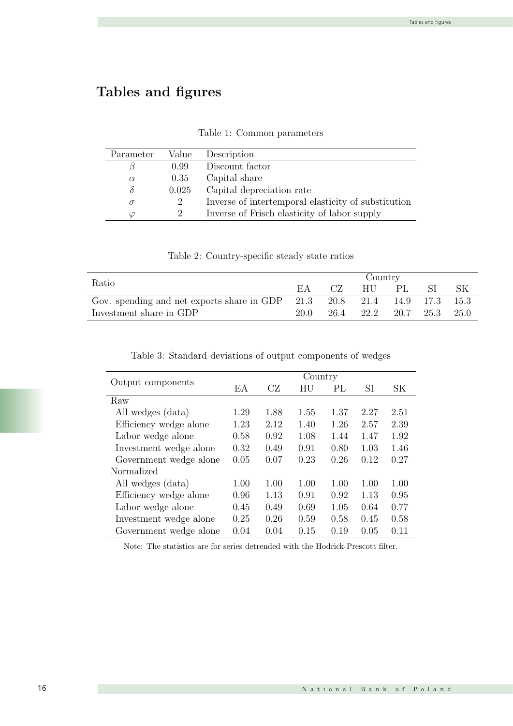# Tables and figures Tables and figures

| Parameter | Value | Description                                         |
|-----------|-------|-----------------------------------------------------|
|           | 0.99  | Discount factor                                     |
| $\alpha$  | 0.35  | Capital share                                       |
| $\delta$  | 0.025 | Capital depreciation rate                           |
| $\sigma$  |       | Inverse of intertemporal elasticity of substitution |
| $\varphi$ |       | Inverse of Frisch elasticity of labor supply        |

Table 1: Common parameters Table 1: Common parameters

Table 2: Country-specific steady state ratios Table 2: Country-specific steady state ratios

|                                                                                      |      |    | Country   |      |      |      |
|--------------------------------------------------------------------------------------|------|----|-----------|------|------|------|
| Ratio                                                                                |      | CZ | HU        | - PL | -ST  | SК   |
| Gov. spending and net exports share in GDP $21.3$ $20.8$ $21.4$ $14.9$ $17.3$ $15.3$ |      |    |           |      |      |      |
| Investment share in GDP                                                              | 20.0 |    | 26.4 22.2 | 20.7 | 25.3 | 25.0 |

|  |  | Table 3: Standard deviations of output components of wedges |  |
|--|--|-------------------------------------------------------------|--|
|  |  |                                                             |  |

|                        | Country |      |      |                 |      |      |  |  |
|------------------------|---------|------|------|-----------------|------|------|--|--|
| Output components      | ΕA      | CZ   | НU   | PI <sub>1</sub> | SI   | SК   |  |  |
| Raw                    |         |      |      |                 |      |      |  |  |
| All wedges (data)      | 1.29    | 1.88 | 1.55 | 1.37            | 2.27 | 2.51 |  |  |
| Efficiency wedge alone | 1.23    | 2.12 | 1.40 | 1.26            | 2.57 | 2.39 |  |  |
| Labor wedge alone      | 0.58    | 0.92 | 1.08 | 1.44            | 1.47 | 1.92 |  |  |
| Investment wedge alone | 0.32    | 0.49 | 0.91 | 0.80            | 1.03 | 1.46 |  |  |
| Government wedge alone | 0.05    | 0.07 | 0.23 | 0.26            | 0.12 | 0.27 |  |  |
| Normalized             |         |      |      |                 |      |      |  |  |
| All wedges (data)      | 1.00    | 1.00 | 1.00 | 1.00            | 1.00 | 1.00 |  |  |
| Efficiency wedge alone | 0.96    | 1.13 | 0.91 | 0.92            | 1.13 | 0.95 |  |  |
| Labor wedge alone      | 0.45    | 0.49 | 0.69 | 1.05            | 0.64 | 0.77 |  |  |
| Investment wedge alone | 0.25    | 0.26 | 0.59 | 0.58            | 0.45 | 0.58 |  |  |
| Government wedge alone | 0.04    | 0.04 | 0.15 | 0.19            | 0.05 | 0.11 |  |  |
|                        |         |      |      |                 |      |      |  |  |

Note: The statistics are for series detrended with the Hodrick-Prescott filter. Note: The statistics are for series detrended with the Hodrick-Prescott filter.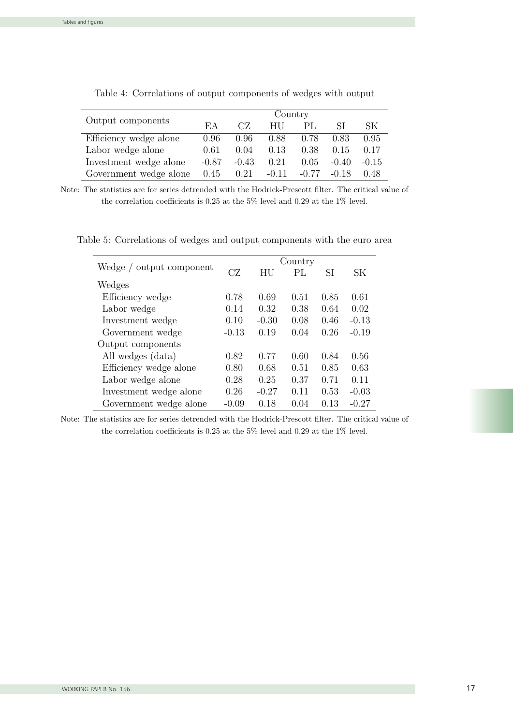|                        |         | Country |         |         |         |         |  |  |
|------------------------|---------|---------|---------|---------|---------|---------|--|--|
| Output components      | EA      | CZ      | НU      | PL      |         | SK.     |  |  |
| Efficiency wedge alone | 0.96    | 0.96    | 0.88    | 0.78    | 0.83    | 0.95    |  |  |
| Labor wedge alone      | 0.61    | 0.04    | 0.13    | 0.38    | 0.15    | 0.17    |  |  |
| Investment wedge alone | $-0.87$ | $-0.43$ | 0.21    | 0.05    | $-0.40$ | $-0.15$ |  |  |
| Government wedge alone | 0.45    | 0.21    | $-0.11$ | $-0.77$ | $-0.18$ | 0.48    |  |  |

Table 4: Correlations of output components of wedges with output

Note: The statistics are for series detrended with the Hodrick-Prescott filter. The critical value of the correlation coefficients is 0.25 at the 5% level and 0.29 at the 1% level.

Table 5: Correlations of wedges and output components with the euro area

| Wedge / output component | CZ      | НU      | PL   | SI   | <b>SK</b> |
|--------------------------|---------|---------|------|------|-----------|
| Wedges                   |         |         |      |      |           |
| Efficiency wedge         | 0.78    | 0.69    | 0.51 | 0.85 | 0.61      |
| Labor wedge              | 0.14    | 0.32    | 0.38 | 0.64 | 0.02      |
| Investment wedge         | 0.10    | $-0.30$ | 0.08 | 0.46 | $-0.13$   |
| Government wedge         | $-0.13$ | 0.19    | 0.04 | 0.26 | $-0.19$   |
| Output components        |         |         |      |      |           |
| All wedges (data)        | 0.82    | 0.77    | 0.60 | 0.84 | 0.56      |
| Efficiency wedge alone   | 0.80    | 0.68    | 0.51 | 0.85 | 0.63      |
| Labor wedge alone        | 0.28    | 0.25    | 0.37 | 0.71 | 0.11      |
| Investment wedge alone   | 0.26    | $-0.27$ | 0.11 | 0.53 | $-0.03$   |
| Government wedge alone   | $-0.09$ | 0.18    | 0.04 | 0.13 | $-0.27$   |

Note: The statistics are for series detrended with the Hodrick-Prescott filter. The critical value of the correlation coefficients is 0.25 at the 5% level and 0.29 at the 1% level.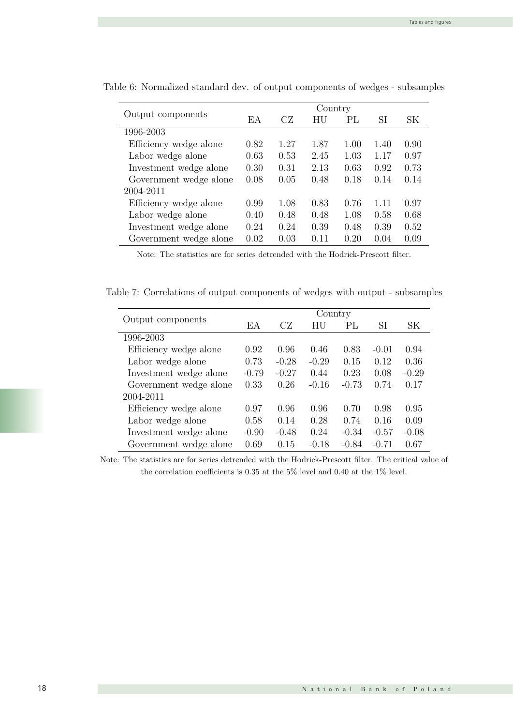| Output components      | ЕA   | CZ.  | HU   | PL   | SI   | SК   |
|------------------------|------|------|------|------|------|------|
| 1996-2003              |      |      |      |      |      |      |
| Efficiency wedge alone | 0.82 | 1.27 | 1.87 | 1.00 | 1.40 | 0.90 |
| Labor wedge alone      | 0.63 | 0.53 | 2.45 | 1.03 | 1.17 | 0.97 |
| Investment wedge alone | 0.30 | 0.31 | 2.13 | 0.63 | 0.92 | 0.73 |
| Government wedge alone | 0.08 | 0.05 | 0.48 | 0.18 | 0.14 | 0.14 |
| 2004-2011              |      |      |      |      |      |      |
| Efficiency wedge alone | 0.99 | 1.08 | 0.83 | 0.76 | 1.11 | 0.97 |
| Labor wedge alone      | 0.40 | 0.48 | 0.48 | 1.08 | 0.58 | 0.68 |
| Investment wedge alone | 0.24 | 0.24 | 0.39 | 0.48 | 0.39 | 0.52 |
| Government wedge alone | 0.02 | 0.03 | 0.11 | 0.20 | 0.04 | 0.09 |

Table 6: Normalized standard dev. of output components of wedges - subsamples

Note: The statistics are for series detrended with the Hodrick-Prescott filter.

Table 7: Correlations of output components of wedges with output - subsamples

|                        | Country |         |         |         |         |         |  |  |
|------------------------|---------|---------|---------|---------|---------|---------|--|--|
| Output components      | ЕA      | CZ      | HU      | PL      | SI      | SК      |  |  |
| 1996-2003              |         |         |         |         |         |         |  |  |
| Efficiency wedge alone | 0.92    | 0.96    | 0.46    | 0.83    | $-0.01$ | 0.94    |  |  |
| Labor wedge alone      | 0.73    | $-0.28$ | $-0.29$ | 0.15    | 0.12    | 0.36    |  |  |
| Investment wedge alone | $-0.79$ | $-0.27$ | 0.44    | 0.23    | 0.08    | $-0.29$ |  |  |
| Government wedge alone | 0.33    | 0.26    | $-0.16$ | $-0.73$ | 0.74    | 0.17    |  |  |
| 2004-2011              |         |         |         |         |         |         |  |  |
| Efficiency wedge alone | 0.97    | 0.96    | 0.96    | 0.70    | 0.98    | 0.95    |  |  |
| Labor wedge alone      | 0.58    | 0.14    | 0.28    | 0.74    | 0.16    | 0.09    |  |  |
| Investment wedge alone | $-0.90$ | $-0.48$ | 0.24    | $-0.34$ | $-0.57$ | $-0.08$ |  |  |
| Government wedge alone | 0.69    | 0.15    | $-0.18$ | $-0.84$ | $-0.71$ | 0.67    |  |  |

Note: The statistics are for series detrended with the Hodrick-Prescott filter. The critical value of the correlation coefficients is 0.35 at the 5% level and 0.40 at the 1% level.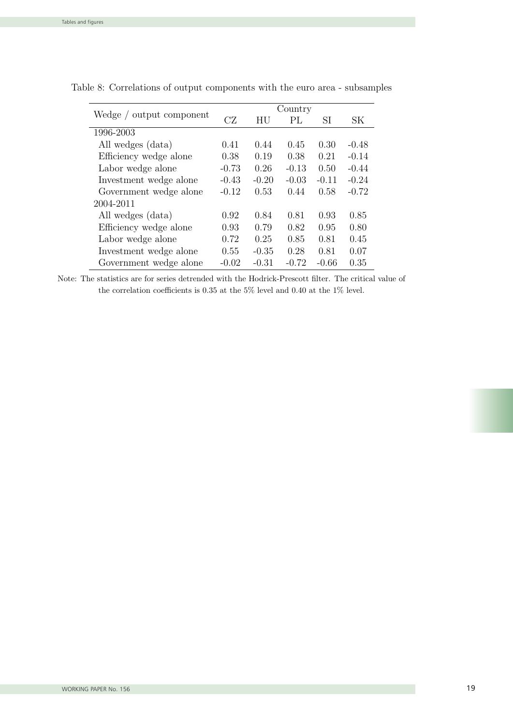|                          |         | Country   |                 |         |         |  |  |  |
|--------------------------|---------|-----------|-----------------|---------|---------|--|--|--|
| Wedge / output component | CZ      | <b>HU</b> | PI <sub>1</sub> | SI      | SК      |  |  |  |
| 1996-2003                |         |           |                 |         |         |  |  |  |
| All wedges (data)        | 0.41    | 0.44      | 0.45            | 0.30    | $-0.48$ |  |  |  |
| Efficiency wedge alone   | 0.38    | 0.19      | 0.38            | 0.21    | $-0.14$ |  |  |  |
| Labor wedge alone        | $-0.73$ | 0.26      | $-0.13$         | 0.50    | $-0.44$ |  |  |  |
| Investment wedge alone   | $-0.43$ | $-0.20$   | $-0.03$         | $-0.11$ | $-0.24$ |  |  |  |
| Government wedge alone   | $-0.12$ | 0.53      | 0.44            | 0.58    | $-0.72$ |  |  |  |
| 2004-2011                |         |           |                 |         |         |  |  |  |
| All wedges (data)        | 0.92    | 0.84      | 0.81            | 0.93    | 0.85    |  |  |  |
| Efficiency wedge alone   | 0.93    | 0.79      | 0.82            | 0.95    | 0.80    |  |  |  |
| Labor wedge alone        | 0.72    | 0.25      | 0.85            | 0.81    | 0.45    |  |  |  |
| Investment wedge alone   | 0.55    | $-0.35$   | 0.28            | 0.81    | 0.07    |  |  |  |
| Government wedge alone   | $-0.02$ | $-0.31$   | $-0.72$         | $-0.66$ | 0.35    |  |  |  |

Table 8: Correlations of output components with the euro area - subsamples

Note: The statistics are for series detrended with the Hodrick-Prescott filter. The critical value of the correlation coefficients is 0.35 at the 5% level and 0.40 at the 1% level.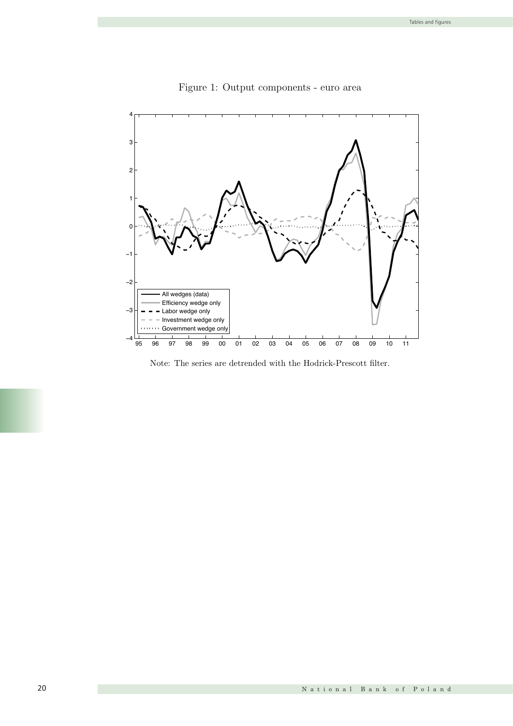

Figure 1: Output components - euro area

Note: The series are detrended with the Hodrick-Prescott filter.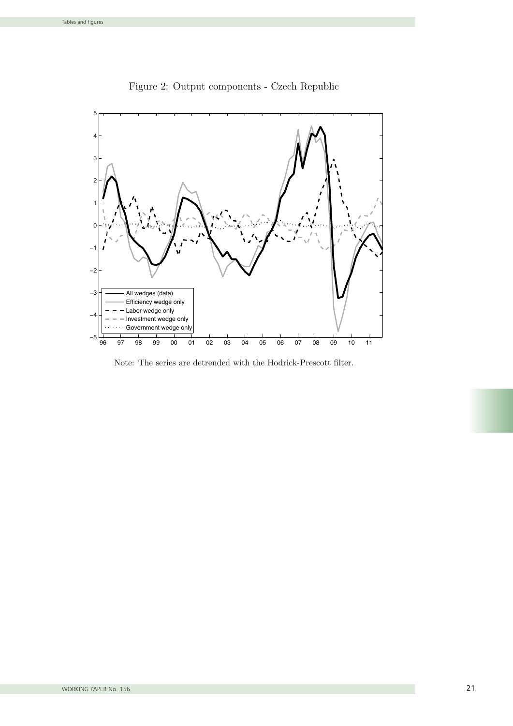

Figure 2: Output components - Czech Republic

Note: The series are detrended with the Hodrick-Prescott filter.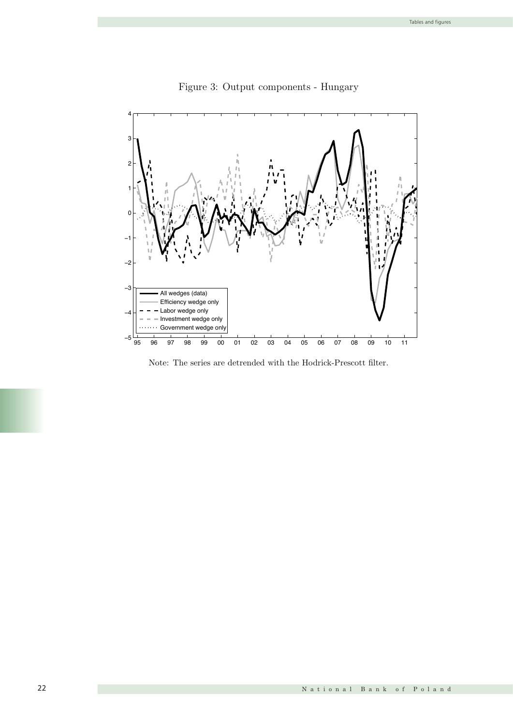

Figure 3: Output components - Hungary

Note: The series are detrended with the Hodrick-Prescott filter.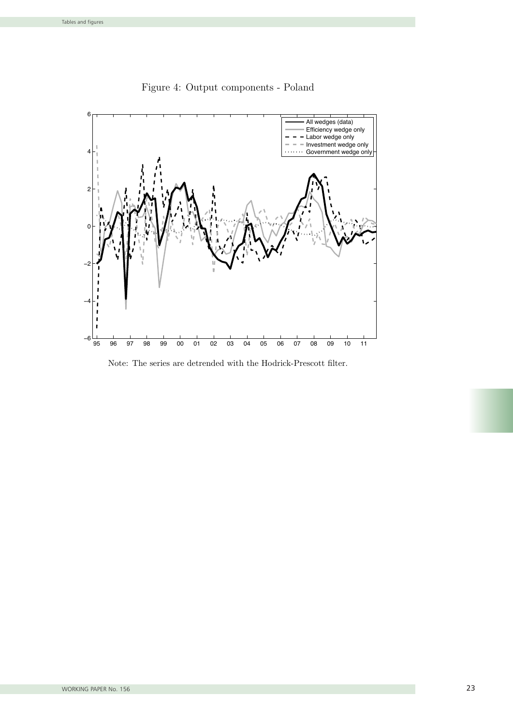

### Figure 4: Output components - Poland

Note: The series are detrended with the Hodrick-Prescott filter.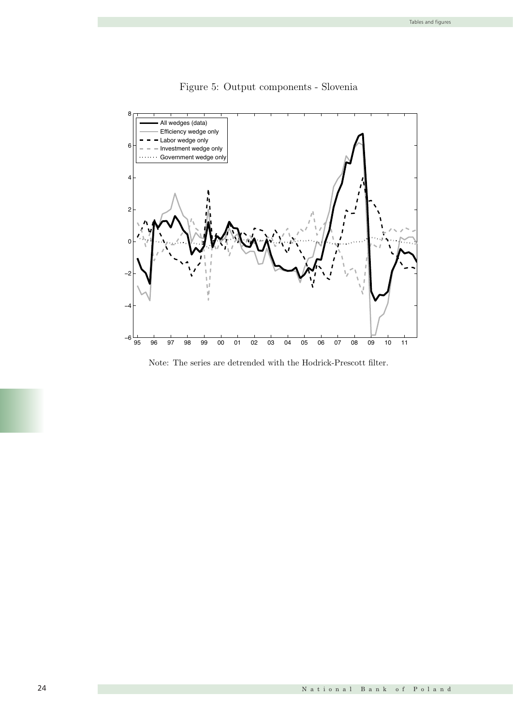

Figure 5: Output components - Slovenia

Note: The series are detrended with the Hodrick-Prescott filter.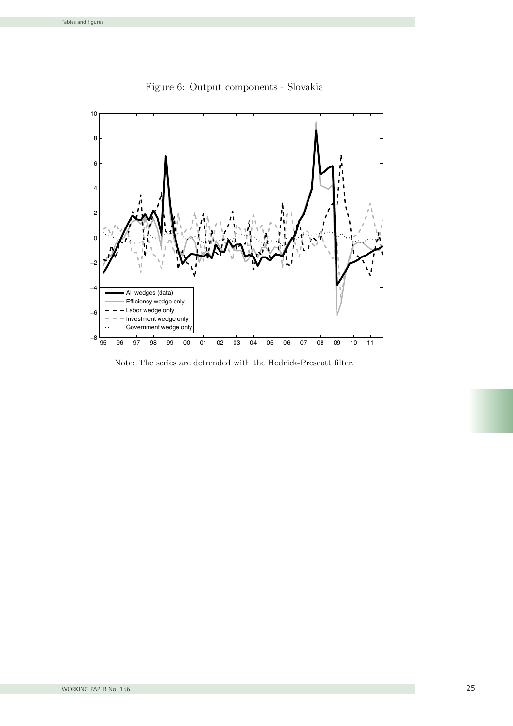

### Figure 6: Output components - Slovakia

Note: The series are detrended with the Hodrick-Prescott filter.